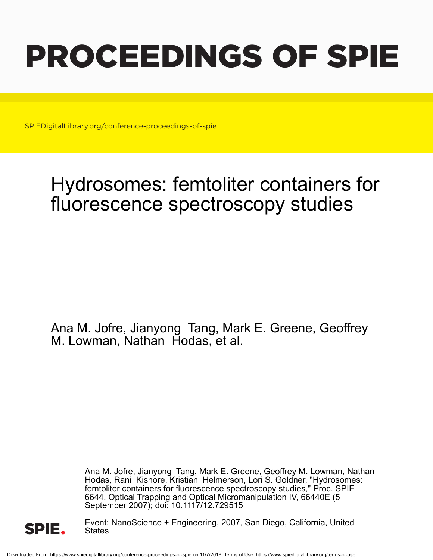# PROCEEDINGS OF SPIE

SPIEDigitalLibrary.org/conference-proceedings-of-spie

## Hydrosomes: femtoliter containers for fluorescence spectroscopy studies

Ana M. Jofre, Jianyong Tang, Mark E. Greene, Geoffrey M. Lowman, Nathan Hodas, et al.

> Ana M. Jofre, Jianyong Tang, Mark E. Greene, Geoffrey M. Lowman, Nathan Hodas, Rani Kishore, Kristian Helmerson, Lori S. Goldner, "Hydrosomes: femtoliter containers for fluorescence spectroscopy studies," Proc. SPIE 6644, Optical Trapping and Optical Micromanipulation IV, 66440E (5 September 2007); doi: 10.1117/12.729515



Event: NanoScience + Engineering, 2007, San Diego, California, United States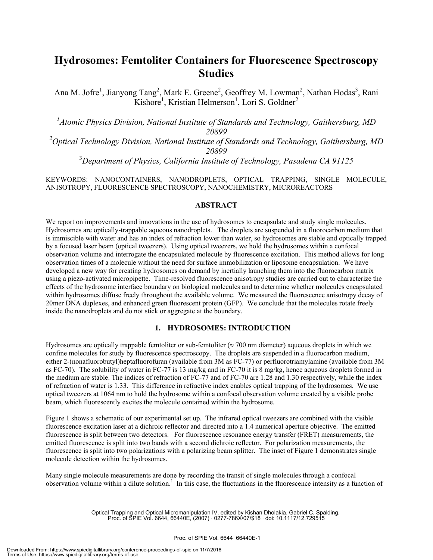### **Hydrosomes: Femtoliter Containers for Fluorescence Spectroscopy Studies**

Ana M. Jofre<sup>1</sup>, Jianyong Tang<sup>2</sup>, Mark E. Greene<sup>2</sup>, Geoffrey M. Lowman<sup>2</sup>, Nathan Hodas<sup>3</sup>, Rani Kishore<sup>1</sup>, Kristian Helmerson<sup>1</sup>, Lori S. Goldner<sup>2</sup>

<sup>1</sup> Atomic Physics Division, National Institute of Standards and Technology, Gaithersburg, MD *20899* 

*2 Optical Technology Division, National Institute of Standards and Technology, Gaithersburg, MD 20899* 

3 *Department of Physics, California Institute of Technology, Pasadena CA 91125* 

KEYWORDS: NANOCONTAINERS, NANODROPLETS, OPTICAL TRAPPING, SINGLE MOLECULE, ANISOTROPY, FLUORESCENCE SPECTROSCOPY, NANOCHEMISTRY, MICROREACTORS

#### **ABSTRACT**

We report on improvements and innovations in the use of hydrosomes to encapsulate and study single molecules. Hydrosomes are optically-trappable aqueous nanodroplets. The droplets are suspended in a fluorocarbon medium that is immiscible with water and has an index of refraction lower than water, so hydrosomes are stable and optically trapped by a focused laser beam (optical tweezers). Using optical tweezers, we hold the hydrosomes within a confocal observation volume and interrogate the encapsulated molecule by fluorescence excitation. This method allows for long observation times of a molecule without the need for surface immobilization or liposome encapsulation. We have developed a new way for creating hydrosomes on demand by inertially launching them into the fluorocarbon matrix using a piezo-activated micropipette. Time-resolved fluorescence anisotropy studies are carried out to characterize the effects of the hydrosome interface boundary on biological molecules and to determine whether molecules encapsulated within hydrosomes diffuse freely throughout the available volume. We measured the fluorescence anisotropy decay of 20mer DNA duplexes, and enhanced green fluorescent protein (GFP). We conclude that the molecules rotate freely inside the nanodroplets and do not stick or aggregate at the boundary.

#### **1. HYDROSOMES: INTRODUCTION**

Hydrosomes are optically trappable femtoliter or sub-femtoliter ( $\approx$  700 nm diameter) aqueous droplets in which we confine molecules for study by fluorescence spectroscopy. The droplets are suspended in a fluorocarbon medium, either 2-(nonafluorobutyl)heptafluorofuran (available from 3M as FC-77) or perfluorotriamylamine (available from 3M as FC-70). The solubility of water in FC-77 is 13 mg/kg and in FC-70 it is 8 mg/kg, hence aqueous droplets formed in the medium are stable. The indices of refraction of FC-77 and of FC-70 are 1.28 and 1.30 respectively, while the index of refraction of water is 1.33. This difference in refractive index enables optical trapping of the hydrosomes. We use optical tweezers at 1064 nm to hold the hydrosome within a confocal observation volume created by a visible probe beam, which fluorescently excites the molecule contained within the hydrosome.

Figure 1 shows a schematic of our experimental set up. The infrared optical tweezers are combined with the visible fluorescence excitation laser at a dichroic reflector and directed into a 1.4 numerical aperture objective. The emitted fluorescence is split between two detectors. For fluorescence resonance energy transfer (FRET) measurements, the emitted fluorescence is split into two bands with a second dichroic reflector. For polarization measurements, the fluorescence is split into two polarizations with a polarizing beam splitter. The inset of Figure 1 demonstrates single molecule detection within the hydrosomes.

Many single molecule measurements are done by recording the transit of single molecules through a confocal observation volume within a dilute solution.<sup>1</sup> In this case, the fluctuations in the fluorescence intensity as a function of

> Optical Trapping and Optical Micromanipulation IV, edited by Kishan Dholakia, Gabriel C. Spalding, Proc. of SPIE Vol. 6644, 66440E, (2007) · 0277-786X/07/\$18 · doi: 10.1117/12.729515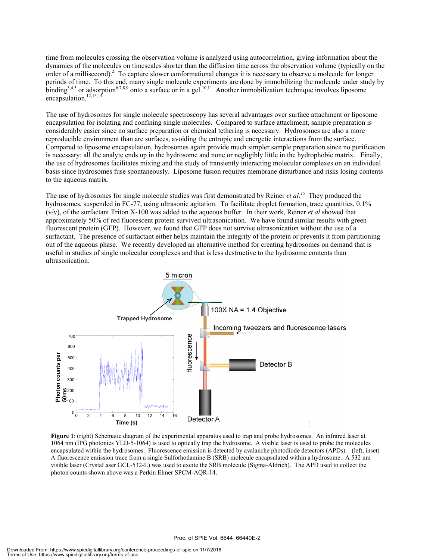time from molecules crossing the observation volume is analyzed using autocorrelation, giving information about the dynamics of the molecules on timescales shorter than the diffusion time across the observation volume (typically on the order of a millisecond).<sup>2</sup> To capture slower conformational changes it is necessary to observe a molecule for longer periods of time. To this end, many single molecule experiments are done by immobilizing the molecule under study by binding<sup>3,4,5</sup> or adsorption<sup>6,7,8,9</sup> onto a surface or in a gel.<sup>10,11</sup> Another immobilization technique involves liposome encapsulation.<sup>12,13,14</sup>

The use of hydrosomes for single molecule spectroscopy has several advantages over surface attachment or liposome encapsulation for isolating and confining single molecules. Compared to surface attachment, sample preparation is considerably easier since no surface preparation or chemical tethering is necessary. Hydrosomes are also a more reproducible environment than are surfaces, avoiding the entropic and energetic interactions from the surface. Compared to liposome encapsulation, hydrosomes again provide much simpler sample preparation since no purification is necessary: all the analyte ends up in the hydrosome and none or negligibly little in the hydrophobic matrix. Finally, the use of hydrosomes facilitates mixing and the study of transiently interacting molecular complexes on an individual basis since hydrosomes fuse spontaneously. Liposome fusion requires membrane disturbance and risks losing contents to the aqueous matrix.

The use of hydrosomes for single molecule studies was first demonstrated by Reiner *et al*. *<sup>15</sup>* They produced the hydrosomes, suspended in FC-77, using ultrasonic agitation. To facilitate droplet formation, trace quantities, 0.1% (v/v), of the surfactant Triton X-100 was added to the aqueous buffer. In their work, Reiner *et al* showed that approximately 50% of red fluorescent protein survived ultrasonication. We have found similar results with green fluorescent protein (GFP). However, we found that GFP does not survive ultrasonication without the use of a surfactant. The presence of surfactant either helps maintain the integrity of the protein or prevents it from partitioning out of the aqueous phase. We recently developed an alternative method for creating hydrosomes on demand that is useful in studies of single molecular complexes and that is less destructive to the hydrosome contents than ultrasonication.



**Figure 1**: (right) Schematic diagram of the experimental apparatus used to trap and probe hydrosomes. An infrared laser at 1064 nm (IPG photonics YLD-5-1064) is used to optically trap the hydrosome. A visible laser is used to probe the molecules encapsulated within the hydrosomes. Fluorescence emission is detected by avalanche photodiode detectors (APDs). (left, inset) A fluorescence emission trace from a single Sulforhodamine B (SRB) molecule encapsulated within a hydrosome. A 532 nm visible laser (CrystaLaser GCL-532-L) was used to excite the SRB molecule (Sigma-Aldrich). The APD used to collect the photon counts shown above was a Perkin Elmer SPCM-AQR-14.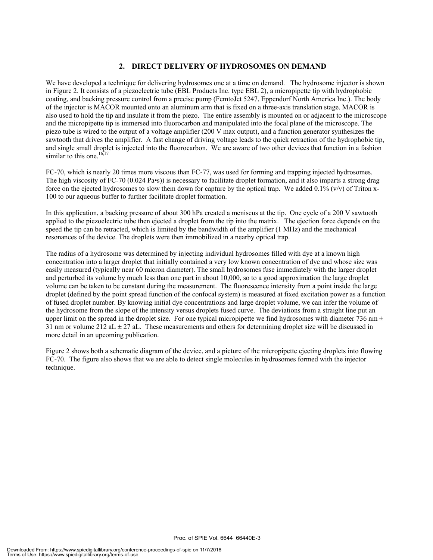#### **2. DIRECT DELIVERY OF HYDROSOMES ON DEMAND**

We have developed a technique for delivering hydrosomes one at a time on demand. The hydrosome injector is shown in Figure 2. It consists of a piezoelectric tube (EBL Products Inc. type EBL 2), a micropipette tip with hydrophobic coating, and backing pressure control from a precise pump (FemtoJet 5247, Eppendorf North America Inc.). The body of the injector is MACOR mounted onto an aluminum arm that is fixed on a three-axis translation stage. MACOR is also used to hold the tip and insulate it from the piezo. The entire assembly is mounted on or adjacent to the microscope and the micropipette tip is immersed into fluorocarbon and manipulated into the focal plane of the microscope. The piezo tube is wired to the output of a voltage amplifier (200 V max output), and a function generator synthesizes the sawtooth that drives the amplifier. A fast change of driving voltage leads to the quick retraction of the hydrophobic tip, and single small droplet is injected into the fluorocarbon. We are aware of two other devices that function in a fashion similar to this one. $16,17$ 

FC-70, which is nearly 20 times more viscous than FC-77, was used for forming and trapping injected hydrosomes. The high viscosity of FC-70 (0.024 Pa•s)) is necessary to facilitate droplet formation, and it also imparts a strong drag force on the ejected hydrosomes to slow them down for capture by the optical trap. We added  $0.1\%$  (v/v) of Triton x-100 to our aqueous buffer to further facilitate droplet formation.

In this application, a backing pressure of about 300 hPa created a meniscus at the tip. One cycle of a 200 V sawtooth applied to the piezoelectric tube then ejected a droplet from the tip into the matrix. The ejection force depends on the speed the tip can be retracted, which is limited by the bandwidth of the amplifier (1 MHz) and the mechanical resonances of the device. The droplets were then immobilized in a nearby optical trap.

The radius of a hydrosome was determined by injecting individual hydrosomes filled with dye at a known high concentration into a larger droplet that initially contained a very low known concentration of dye and whose size was easily measured (typically near 60 micron diameter). The small hydrosomes fuse immediately with the larger droplet and perturbed its volume by much less than one part in about 10,000, so to a good approximation the large droplet volume can be taken to be constant during the measurement. The fluorescence intensity from a point inside the large droplet (defined by the point spread function of the confocal system) is measured at fixed excitation power as a function of fused droplet number. By knowing initial dye concentrations and large droplet volume, we can infer the volume of the hydrosome from the slope of the intensity versus droplets fused curve. The deviations from a straight line put an upper limit on the spread in the droplet size. For one typical micropipette we find hydrosomes with diameter 736 nm  $\pm$ 31 nm or volume 212 aL  $\pm$  27 aL. These measurements and others for determining droplet size will be discussed in more detail in an upcoming publication.

Figure 2 shows both a schematic diagram of the device, and a picture of the micropipette ejecting droplets into flowing FC-70. The figure also shows that we are able to detect single molecules in hydrosomes formed with the injector technique.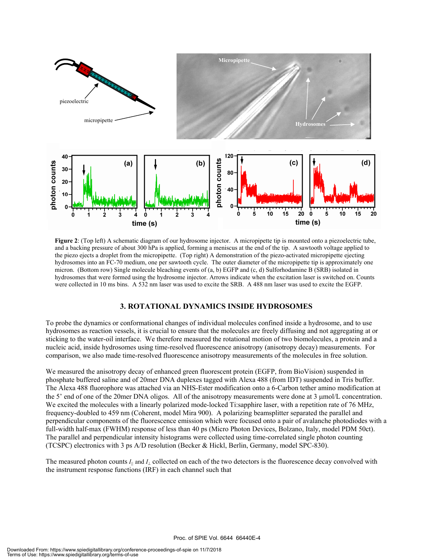

**Figure 2**: (Top left) A schematic diagram of our hydrosome injector. A micropipette tip is mounted onto a piezoelectric tube, and a backing pressure of about 300 hPa is applied, forming a meniscus at the end of the tip. A sawtooth voltage applied to the piezo ejects a droplet from the micropipette. (Top right) A demonstration of the piezo-activated micropipette ejecting hydrosomes into an FC-70 medium, one per sawtooth cycle. The outer diameter of the micropipette tip is approximately one micron. (Bottom row) Single molecule bleaching events of (a, b) EGFP and (c, d) Sulforhodamine B (SRB) isolated in hydrosomes that were formed using the hydrosome injector. Arrows indicate when the excitation laser is switched on. Counts were collected in 10 ms bins. A 532 nm laser was used to excite the SRB. A 488 nm laser was used to excite the EGFP.

#### **3. ROTATIONAL DYNAMICS INSIDE HYDROSOMES**

To probe the dynamics or conformational changes of individual molecules confined inside a hydrosome, and to use hydrosomes as reaction vessels, it is crucial to ensure that the molecules are freely diffusing and not aggregating at or sticking to the water-oil interface. We therefore measured the rotational motion of two biomolecules, a protein and a nucleic acid, inside hydrosomes using time-resolved fluorescence anisotropy (anisotropy decay) measurements. For comparison, we also made time-resolved fluorescence anisotropy measurements of the molecules in free solution.

We measured the anisotropy decay of enhanced green fluorescent protein (EGFP, from BioVision) suspended in phosphate buffered saline and of 20mer DNA duplexes tagged with Alexa 488 (from IDT) suspended in Tris buffer. The Alexa 488 fluorophore was attached via an NHS-Ester modification onto a 6-Carbon tether amino modification at the 5' end of one of the 20mer DNA oligos. All of the anisotropy measurements were done at 3 µmol/L concentration. We excited the molecules with a linearly polarized mode-locked Ti:sapphire laser, with a repetition rate of 76 MHz, frequency-doubled to 459 nm (Coherent, model Mira 900). A polarizing beamsplitter separated the parallel and perpendicular components of the fluorescence emission which were focused onto a pair of avalanche photodiodes with a full-width half-max (FWHM) response of less than 40 ps (Micro Photon Devices, Bolzano, Italy, model PDM 50ct). The parallel and perpendicular intensity histograms were collected using time-correlated single photon counting (TCSPC) electronics with 3 ps A/D resolution (Becker & Hickl, Berlin, Germany, model SPC-830).

The measured photon counts *I||* and *I*<sup>⊥</sup> collected on each of the two detectors is the fluorescence decay convolved with the instrument response functions (IRF) in each channel such that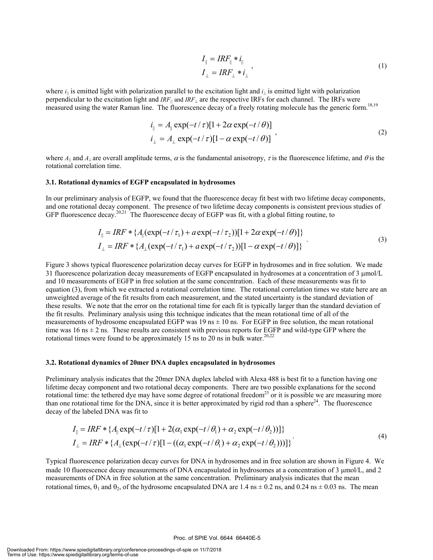$$
I_{\parallel} = IRF_{\parallel} * i_{\parallel}
$$
  
\n
$$
I_{\perp} = IRF_{\perp} * i_{\perp}
$$
\n(1)

where  $i_{\parallel}$  is emitted light with polarization parallel to the excitation light and  $i_{\perp}$  is emitted light with polarization perpendicular to the excitation light and *IRF||* and *IRF*⊥ are the respective IRFs for each channel. The IRFs were measured using the water Raman line. The fluorescence decay of a freely rotating molecule has the generic form.<sup>18,19</sup>

$$
i_{\parallel} = A_{\parallel} \exp(-t/\tau)[1 + 2\alpha \exp(-t/\theta)]
$$
  
\n
$$
i_{\perp} = A_{\perp} \exp(-t/\tau)[1 - \alpha \exp(-t/\theta)]
$$
\n(2)

where  $A_{\parallel}$  and  $A_{\perp}$  are overall amplitude terms,  $\alpha$  is the fundamental anisotropy,  $\tau$  is the fluorescence lifetime, and  $\theta$  is the rotational correlation time.

#### **3.1. Rotational dynamics of EGFP encapsulated in hydrosomes**

In our preliminary analysis of EGFP, we found that the fluorescence decay fit best with two lifetime decay components, and one rotational decay component. The presence of two lifetime decay components is consistent previous studies of GFP fluorescence decay.<sup>20,21</sup> The fluorescence decay of EGFP was fit, with a global fitting routine, to

$$
I_{\parallel} = IRF * \{A_{\parallel}(\exp(-t/\tau_1) + a \exp(-t/\tau_2))[1 + 2\alpha \exp(-t/\theta)]\}
$$
  
\n
$$
I_{\perp} = IRF * \{A_{\perp}(\exp(-t/\tau_1) + a \exp(-t/\tau_2))[1 - \alpha \exp(-t/\theta)]\}
$$
\n(3)

Figure 3 shows typical fluorescence polarization decay curves for EGFP in hydrosomes and in free solution. We made 31 fluorescence polarization decay measurements of EGFP encapsulated in hydrosomes at a concentration of 3  $\mu$ mol/L and 10 measurements of EGFP in free solution at the same concentration. Each of these measurements was fit to equation (3), from which we extracted a rotational correlation time. The rotational correlation times we state here are an unweighted average of the fit results from each measurement, and the stated uncertainty is the standard deviation of these results. We note that the error on the rotational time for each fit is typically larger than the standard deviation of the fit results. Preliminary analysis using this technique indicates that the mean rotational time of all of the measurements of hydrosome encapsulated EGFP was  $19 \text{ ns} \pm 10 \text{ ns}$ . For EGFP in free solution, the mean rotational time was  $16 \text{ ns} \pm 2 \text{ ns}$ . These results are consistent with previous reports for EGFP and wild-type GFP where the rotational times were found to be approximately 15 ns to 20 ns in bulk water.<sup>20,22</sup>

#### **3.2. Rotational dynamics of 20mer DNA duplex encapsulated in hydrosomes**

Preliminary analysis indicates that the 20mer DNA duplex labeled with Alexa 488 is best fit to a function having one lifetime decay component and two rotational decay components. There are two possible explanations for the second rotational time: the tethered dye may have some degree of rotational freedom<sup>23</sup> or it is possible we are measuring more than one rotational time for the DNA, since it is better approximated by rigid rod than a sphere $24$ . The fluorescence decay of the labeled DNA was fit to

$$
I_{\parallel} = IRF * \{A_{\parallel} \exp(-t/\tau)[1 + 2(\alpha_1 \exp(-t/\theta_1) + \alpha_2 \exp(-t/\theta_2))]\}
$$
  
\n
$$
I_{\perp} = IRF * \{A_{\perp}(\exp(-t/\tau)[1 - ((\alpha_1 \exp(-t/\theta_1) + \alpha_2 \exp(-t/\theta_2)))]\})
$$
\n(4)

Typical fluorescence polarization decay curves for DNA in hydrosomes and in free solution are shown in Figure 4. We made 10 fluorescence decay measurements of DNA encapsulated in hydrosomes at a concentration of 3 µmol/L, and 2 measurements of DNA in free solution at the same concentration. Preliminary analysis indicates that the mean rotational times,  $\theta_1$  and  $\theta_2$ , of the hydrosome encapsulated DNA are 1.4 ns  $\pm$  0.2 ns, and 0.24 ns  $\pm$  0.03 ns. The mean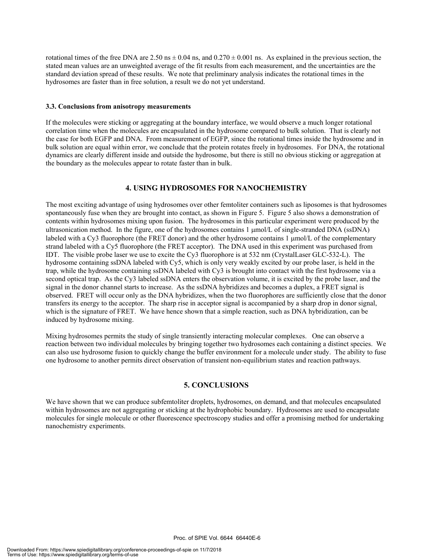rotational times of the free DNA are  $2.50 \text{ ns} \pm 0.04 \text{ ns}$ , and  $0.270 \pm 0.001 \text{ ns}$ . As explained in the previous section, the stated mean values are an unweighted average of the fit results from each measurement, and the uncertainties are the standard deviation spread of these results. We note that preliminary analysis indicates the rotational times in the hydrosomes are faster than in free solution, a result we do not yet understand.

#### **3.3. Conclusions from anisotropy measurements**

If the molecules were sticking or aggregating at the boundary interface, we would observe a much longer rotational correlation time when the molecules are encapsulated in the hydrosome compared to bulk solution. That is clearly not the case for both EGFP and DNA. From measurement of EGFP, since the rotational times inside the hydrosome and in bulk solution are equal within error, we conclude that the protein rotates freely in hydrosomes. For DNA, the rotational dynamics are clearly different inside and outside the hydrosome, but there is still no obvious sticking or aggregation at the boundary as the molecules appear to rotate faster than in bulk.

#### **4. USING HYDROSOMES FOR NANOCHEMISTRY**

The most exciting advantage of using hydrosomes over other femtoliter containers such as liposomes is that hydrosomes spontaneously fuse when they are brought into contact, as shown in Figure 5. Figure 5 also shows a demonstration of contents within hydrosomes mixing upon fusion. The hydrosomes in this particular experiment were produced by the ultrasonication method. In the figure, one of the hydrosomes contains 1 µmol/L of single-stranded DNA (ssDNA) labeled with a Cy3 fluorophore (the FRET donor) and the other hydrosome contains 1 µmol/L of the complementary strand labeled with a Cy5 fluorophore (the FRET acceptor). The DNA used in this experiment was purchased from IDT. The visible probe laser we use to excite the Cy3 fluorophore is at 532 nm (CrystalLaser GLC-532-L). The hydrosome containing ssDNA labeled with Cy5, which is only very weakly excited by our probe laser, is held in the trap, while the hydrosome containing ssDNA labeled with Cy3 is brought into contact with the first hydrosome via a second optical trap. As the Cy3 labeled ssDNA enters the observation volume, it is excited by the probe laser, and the signal in the donor channel starts to increase. As the ssDNA hybridizes and becomes a duplex, a FRET signal is observed. FRET will occur only as the DNA hybridizes, when the two fluorophores are sufficiently close that the donor transfers its energy to the acceptor. The sharp rise in acceptor signal is accompanied by a sharp drop in donor signal, which is the signature of FRET. We have hence shown that a simple reaction, such as DNA hybridization, can be induced by hydrosome mixing.

Mixing hydrosomes permits the study of single transiently interacting molecular complexes. One can observe a reaction between two individual molecules by bringing together two hydrosomes each containing a distinct species. We can also use hydrosome fusion to quickly change the buffer environment for a molecule under study. The ability to fuse one hydrosome to another permits direct observation of transient non-equilibrium states and reaction pathways.

#### **5. CONCLUSIONS**

We have shown that we can produce subfemtoliter droplets, hydrosomes, on demand, and that molecules encapsulated within hydrosomes are not aggregating or sticking at the hydrophobic boundary. Hydrosomes are used to encapsulate molecules for single molecule or other fluorescence spectroscopy studies and offer a promising method for undertaking nanochemistry experiments.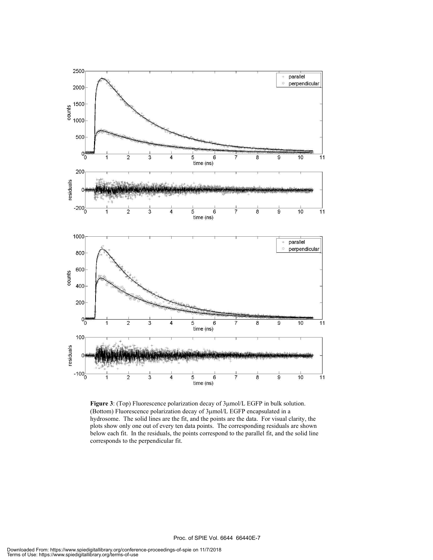

**Figure 3**: (Top) Fluorescence polarization decay of 3µmol/L EGFP in bulk solution. (Bottom) Fluorescence polarization decay of 3µmol/L EGFP encapsulated in a hydrosome. The solid lines are the fit, and the points are the data. For visual clarity, the plots show only one out of every ten data points. The corresponding residuals are shown below each fit. In the residuals, the points correspond to the parallel fit, and the solid line corresponds to the perpendicular fit.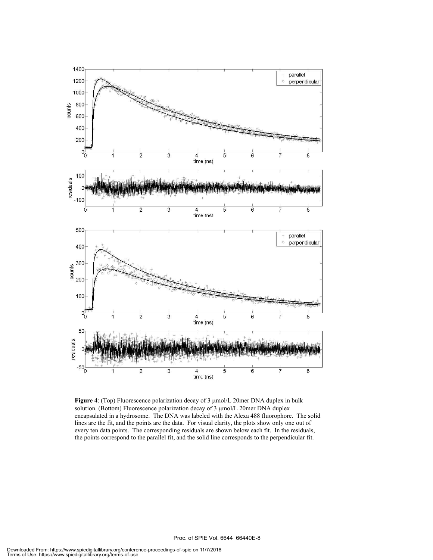

**Figure 4**: (Top) Fluorescence polarization decay of 3 µmol/L 20mer DNA duplex in bulk solution. (Bottom) Fluorescence polarization decay of 3 µmol/L 20mer DNA duplex encapsulated in a hydrosome. The DNA was labeled with the Alexa 488 fluorophore. The solid lines are the fit, and the points are the data. For visual clarity, the plots show only one out of every ten data points. The corresponding residuals are shown below each fit. In the residuals, the points correspond to the parallel fit, and the solid line corresponds to the perpendicular fit.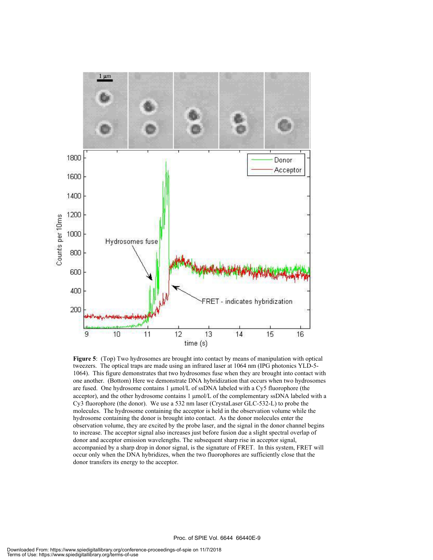

**Figure 5**: (Top) Two hydrosomes are brought into contact by means of manipulation with optical tweezers. The optical traps are made using an infrared laser at 1064 nm (IPG photonics YLD-5- 1064). This figure demonstrates that two hydrosomes fuse when they are brought into contact with one another. (Bottom) Here we demonstrate DNA hybridization that occurs when two hydrosomes are fused. One hydrosome contains 1 µmol/L of ssDNA labeled with a Cy5 fluorophore (the acceptor), and the other hydrosome contains 1  $\mu$ mol/L of the complementary ssDNA labeled with a Cy3 fluorophore (the donor). We use a 532 nm laser (CrystaLaser GLC-532-L) to probe the molecules. The hydrosome containing the acceptor is held in the observation volume while the hydrosome containing the donor is brought into contact. As the donor molecules enter the observation volume, they are excited by the probe laser, and the signal in the donor channel begins to increase. The acceptor signal also increases just before fusion due a slight spectral overlap of donor and acceptor emission wavelengths. The subsequent sharp rise in acceptor signal, accompanied by a sharp drop in donor signal, is the signature of FRET. In this system, FRET will occur only when the DNA hybridizes, when the two fluorophores are sufficiently close that the donor transfers its energy to the acceptor.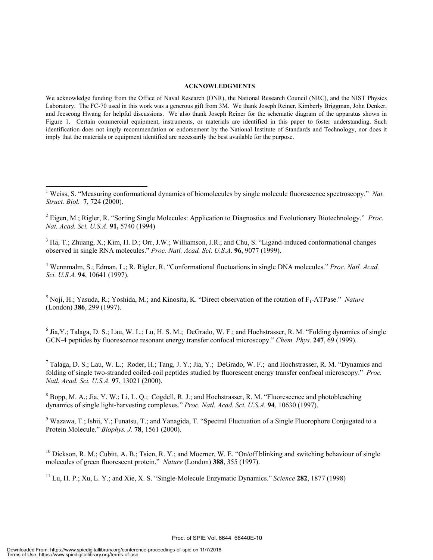#### **ACKNOWLEDGMENTS**

We acknowledge funding from the Office of Naval Research (ONR), the National Research Council (NRC), and the NIST Physics Laboratory. The FC-70 used in this work was a generous gift from 3M. We thank Joseph Reiner, Kimberly Briggman, John Denker, and Jeeseong Hwang for helpful discussions. We also thank Joseph Reiner for the schematic diagram of the apparatus shown in Figure 1. Certain commercial equipment, instruments, or materials are identified in this paper to foster understanding. Such identification does not imply recommendation or endorsement by the National Institute of Standards and Technology, nor does it imply that the materials or equipment identified are necessarily the best available for the purpose.

 $3$  Ha, T.; Zhuang, X.; Kim, H. D.; Orr, J.W.; Williamson, J.R.; and Chu, S. "Ligand-induced conformational changes observed in single RNA molecules." *Proc. Natl. Acad. Sci. U.S.A*. **96**, 9077 (1999).

4 Wennmalm, S.; Edman, L.; R. Rigler, R. "Conformational fluctuations in single DNA molecules." *Proc. Natl. Acad. Sci. U.S.A.* **94**, 10641 (1997).

<sup>5</sup> Noji, H.; Yasuda, R.; Yoshida, M.; and Kinosita, K. "Direct observation of the rotation of F<sub>1</sub>-ATPase." *Nature* (London) **386**, 299 (1997).

 $6$  Jia, Y.; Talaga, D. S.; Lau, W. L.; Lu, H. S. M.; DeGrado, W. F.; and Hochstrasser, R. M. "Folding dynamics of single GCN-4 peptides by fluorescence resonant energy transfer confocal microscopy." *Chem. Phys.* **247**, 69 (1999).

<sup>7</sup> Talaga, D. S.; Lau, W. L.; Roder, H.; Tang, J. Y.; Jia, Y.; DeGrado, W. F.; and Hochstrasser, R. M. "Dynamics and folding of single two-stranded coiled-coil peptides studied by fluorescent energy transfer confocal microscopy." *Proc. Natl. Acad. Sci. U.S.A.* **97**, 13021 (2000).

 $8$  Bopp, M. A.; Jia, Y. W.; Li, L. Q.; Cogdell, R. J.; and Hochstrasser, R. M. "Fluorescence and photobleaching dynamics of single light-harvesting complexes." *Proc. Natl. Acad. Sci. U.S.A.* **94**, 10630 (1997).

 $9$  Wazawa, T.; Ishii, Y.; Funatsu, T.; and Yanagida, T. "Spectral Fluctuation of a Single Fluorophore Conjugated to a Protein Molecule." *Biophys. J.* **78**, 1561 (2000).

 $^{10}$  Dickson, R. M.; Cubitt, A. B.; Tsien, R. Y.; and Moerner, W. E. "On/off blinking and switching behaviour of single molecules of green fluorescent protein." *Nature* (London) **388**, 355 (1997).

11 Lu, H. P.; Xu, L. Y.; and Xie, X. S. "Single-Molecule Enzymatic Dynamics." *Science* **282**, 1877 (1998)

l

<sup>&</sup>lt;sup>1</sup> Weiss, S. "Measuring conformational dynamics of biomolecules by single molecule fluorescence spectroscopy." Nat. *Struct. Biol.* **7**, 724 (2000).

<sup>2</sup> Eigen, M.; Rigler, R. "Sorting Single Molecules: Application to Diagnostics and Evolutionary Biotechnology." *Proc. Nat. Acad. Sci. U.S.A.* **91,** 5740 (1994)